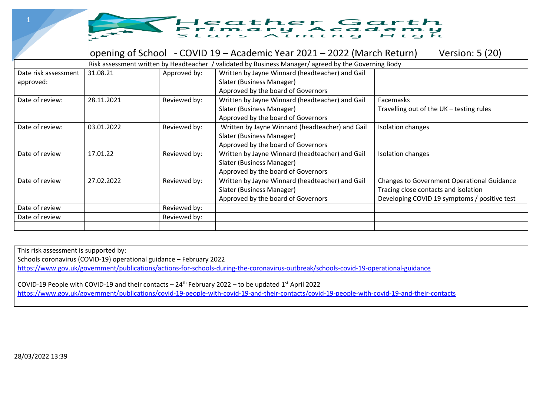

#### opening of School - COVID 19 – Academic Year 2021 – 2022 (March Return) Version: 5 (20)

|                                   |            |              | Risk assessment written by Headteacher / validated by Business Manager/ agreed by the Governing Body               |                                                                                                                                           |
|-----------------------------------|------------|--------------|--------------------------------------------------------------------------------------------------------------------|-------------------------------------------------------------------------------------------------------------------------------------------|
| Date risk assessment<br>approved: | 31.08.21   | Approved by: | Written by Jayne Winnard (headteacher) and Gail<br>Slater (Business Manager)<br>Approved by the board of Governors |                                                                                                                                           |
| Date of review:                   | 28.11.2021 | Reviewed by: | Written by Jayne Winnard (headteacher) and Gail<br>Slater (Business Manager)<br>Approved by the board of Governors | Facemasks<br>Travelling out of the UK - testing rules                                                                                     |
| Date of review:                   | 03.01.2022 | Reviewed by: | Written by Jayne Winnard (headteacher) and Gail<br>Slater (Business Manager)<br>Approved by the board of Governors | <b>Isolation changes</b>                                                                                                                  |
| Date of review                    | 17.01.22   | Reviewed by: | Written by Jayne Winnard (headteacher) and Gail<br>Slater (Business Manager)<br>Approved by the board of Governors | Isolation changes                                                                                                                         |
| Date of review                    | 27.02.2022 | Reviewed by: | Written by Jayne Winnard (headteacher) and Gail<br>Slater (Business Manager)<br>Approved by the board of Governors | <b>Changes to Government Operational Guidance</b><br>Tracing close contacts and isolation<br>Developing COVID 19 symptoms / positive test |
| Date of review                    |            | Reviewed by: |                                                                                                                    |                                                                                                                                           |
| Date of review                    |            | Reviewed by: |                                                                                                                    |                                                                                                                                           |

This risk assessment is supported by:

Schools coronavirus (COVID-19) operational guidance – February 2022

<https://www.gov.uk/government/publications/actions-for-schools-during-the-coronavirus-outbreak/schools-covid-19-operational-guidance>

COVID-19 People with COVID-19 and their contacts –  $24<sup>th</sup>$  February 2022 – to be updated 1<sup>st</sup> April 2022 <https://www.gov.uk/government/publications/covid-19-people-with-covid-19-and-their-contacts/covid-19-people-with-covid-19-and-their-contacts>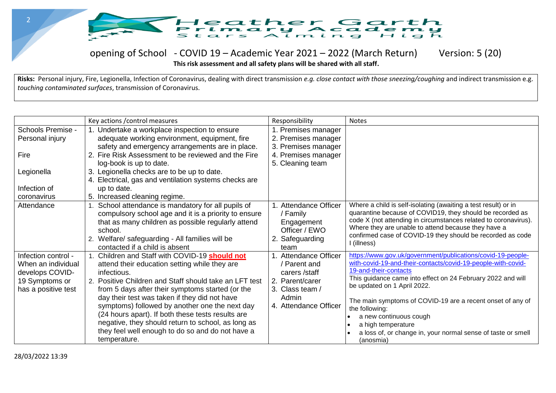

#### opening of School - COVID 19 – Academic Year 2021 – 2022 (March Return) Version: 5 (20)

**This risk assessment and all safety plans will be shared with all staff.** 

**Risks:** Personal injury, Fire, Legionella, Infection of Coronavirus, dealing with direct transmission *e.g. close contact with those sneezing/coughing* and indirect transmission e.g. *touching contaminated surfaces*, transmission of Coronavirus.

|                                                                                                       | Key actions / control measures                                                                                                                                                                                                                                                                                                                                                                                                                                                                                 | Responsibility                                                                                                                     | <b>Notes</b>                                                                                                                                                                                                                                                                                                                                                                                                                                                    |
|-------------------------------------------------------------------------------------------------------|----------------------------------------------------------------------------------------------------------------------------------------------------------------------------------------------------------------------------------------------------------------------------------------------------------------------------------------------------------------------------------------------------------------------------------------------------------------------------------------------------------------|------------------------------------------------------------------------------------------------------------------------------------|-----------------------------------------------------------------------------------------------------------------------------------------------------------------------------------------------------------------------------------------------------------------------------------------------------------------------------------------------------------------------------------------------------------------------------------------------------------------|
| Schools Premise -<br>Personal injury<br>Fire<br>Legionella<br>Infection of                            | 1. Undertake a workplace inspection to ensure<br>adequate working environment, equipment, fire<br>safety and emergency arrangements are in place.<br>2. Fire Risk Assessment to be reviewed and the Fire<br>log-book is up to date.<br>3. Legionella checks are to be up to date.<br>4. Electrical, gas and ventilation systems checks are<br>up to date.                                                                                                                                                      | 1. Premises manager<br>2. Premises manager<br>3. Premises manager<br>4. Premises manager<br>5. Cleaning team                       |                                                                                                                                                                                                                                                                                                                                                                                                                                                                 |
| coronavirus                                                                                           | 5. Increased cleaning regime.                                                                                                                                                                                                                                                                                                                                                                                                                                                                                  |                                                                                                                                    |                                                                                                                                                                                                                                                                                                                                                                                                                                                                 |
| Attendance                                                                                            | 1. School attendance is mandatory for all pupils of<br>compulsory school age and it is a priority to ensure<br>that as many children as possible regularly attend<br>school.<br>2. Welfare/ safeguarding - All families will be<br>contacted if a child is absent                                                                                                                                                                                                                                              | 1. Attendance Officer<br>/ Family<br>Engagement<br>Officer / EWO<br>2. Safeguarding<br>team                                        | Where a child is self-isolating (awaiting a test result) or in<br>quarantine because of COVID19, they should be recorded as<br>code X (not attending in circumstances related to coronavirus).<br>Where they are unable to attend because they have a<br>confirmed case of COVID-19 they should be recorded as code<br>I (illness)                                                                                                                              |
| Infection control -<br>When an individual<br>develops COVID-<br>19 Symptoms or<br>has a positive test | 1. Children and Staff with COVID-19 should not<br>attend their education setting while they are<br>infectious.<br>2. Positive Children and Staff should take an LFT test<br>from 5 days after their symptoms started (or the<br>day their test was taken if they did not have<br>symptoms) followed by another one the next day<br>(24 hours apart). If both these tests results are<br>negative, they should return to school, as long as<br>they feel well enough to do so and do not have a<br>temperature. | <b>Attendance Officer</b><br>/ Parent and<br>carers /staff<br>2. Parent/carer<br>3. Class team /<br>Admin<br>4. Attendance Officer | https://www.gov.uk/government/publications/covid-19-people-<br>with-covid-19-and-their-contacts/covid-19-people-with-covid-<br>19-and-their-contacts<br>This guidance came into effect on 24 February 2022 and will<br>be updated on 1 April 2022.<br>The main symptoms of COVID-19 are a recent onset of any of<br>the following:<br>a new continuous cough<br>a high temperature<br>a loss of, or change in, your normal sense of taste or smell<br>(anosmia) |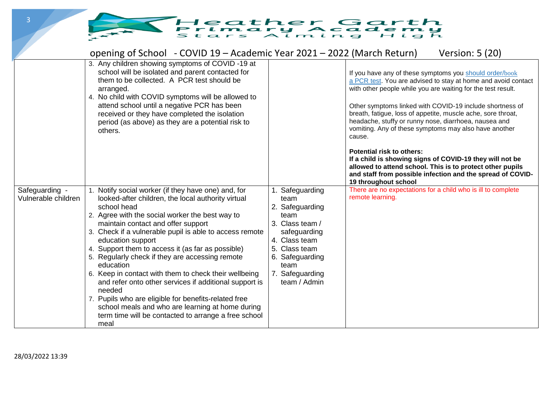### Heather Garth<br>Primary Arademy

|                                       | opening of School - COVID 19 – Academic Year 2021 – 2022 (March Return)                                                                                                                                                                                                                                                                                                                                                                                                                                                                                                                                                                                                                                                      |                                                                                                                                                                                    | <b>Version: 5 (20)</b>                                                                                                                                                                                                                                                                                                                                                                                                                                                                                                                                                                                                                                                                              |
|---------------------------------------|------------------------------------------------------------------------------------------------------------------------------------------------------------------------------------------------------------------------------------------------------------------------------------------------------------------------------------------------------------------------------------------------------------------------------------------------------------------------------------------------------------------------------------------------------------------------------------------------------------------------------------------------------------------------------------------------------------------------------|------------------------------------------------------------------------------------------------------------------------------------------------------------------------------------|-----------------------------------------------------------------------------------------------------------------------------------------------------------------------------------------------------------------------------------------------------------------------------------------------------------------------------------------------------------------------------------------------------------------------------------------------------------------------------------------------------------------------------------------------------------------------------------------------------------------------------------------------------------------------------------------------------|
|                                       | 3. Any children showing symptoms of COVID-19 at<br>school will be isolated and parent contacted for<br>them to be collected. A PCR test should be<br>arranged.<br>4. No child with COVID symptoms will be allowed to<br>attend school until a negative PCR has been<br>received or they have completed the isolation<br>period (as above) as they are a potential risk to<br>others.                                                                                                                                                                                                                                                                                                                                         |                                                                                                                                                                                    | If you have any of these symptoms you should order/book<br>a PCR test. You are advised to stay at home and avoid contact<br>with other people while you are waiting for the test result.<br>Other symptoms linked with COVID-19 include shortness of<br>breath, fatigue, loss of appetite, muscle ache, sore throat,<br>headache, stuffy or runny nose, diarrhoea, nausea and<br>vomiting. Any of these symptoms may also have another<br>cause.<br><b>Potential risk to others:</b><br>If a child is showing signs of COVID-19 they will not be<br>allowed to attend school. This is to protect other pupils<br>and staff from possible infection and the spread of COVID-<br>19 throughout school |
| Safeguarding -<br>Vulnerable children | Notify social worker (if they have one) and, for<br>looked-after children, the local authority virtual<br>school head<br>2. Agree with the social worker the best way to<br>maintain contact and offer support<br>3. Check if a vulnerable pupil is able to access remote<br>education support<br>4. Support them to access it (as far as possible)<br>5. Regularly check if they are accessing remote<br>education<br>6. Keep in contact with them to check their wellbeing<br>and refer onto other services if additional support is<br>needed<br>7. Pupils who are eligible for benefits-related free<br>school meals and who are learning at home during<br>term time will be contacted to arrange a free school<br>meal | Safeguarding<br>team<br>2. Safeguarding<br>team<br>3. Class team /<br>safeguarding<br>4. Class team<br>5. Class team<br>6. Safeguarding<br>team<br>7. Safeguarding<br>team / Admin | There are no expectations for a child who is ill to complete<br>remote learning.                                                                                                                                                                                                                                                                                                                                                                                                                                                                                                                                                                                                                    |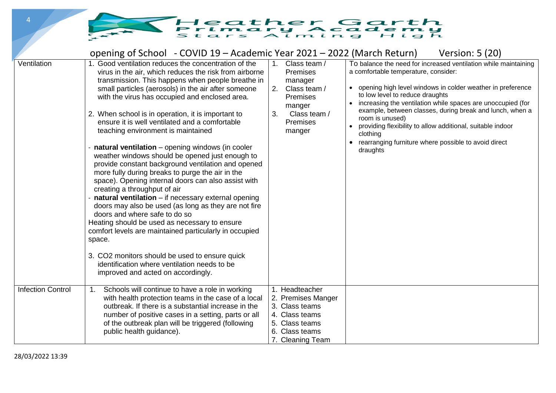# THeather Garth<br>Stars Alming High

|                          | opening of School - COVID 19 – Academic Year 2021 – 2022 (March Return)                                                                                                                                                                                                                                                                                                                                                                                                                                                                                                                                                                                                                                                                                                                                                                                                                                                                                                                                                                                                                                                                           |                                                                                                                                                      | Version: 5 (20)                                                                                                                                                                                                                                                                                                                                                                                                                                                                                        |
|--------------------------|---------------------------------------------------------------------------------------------------------------------------------------------------------------------------------------------------------------------------------------------------------------------------------------------------------------------------------------------------------------------------------------------------------------------------------------------------------------------------------------------------------------------------------------------------------------------------------------------------------------------------------------------------------------------------------------------------------------------------------------------------------------------------------------------------------------------------------------------------------------------------------------------------------------------------------------------------------------------------------------------------------------------------------------------------------------------------------------------------------------------------------------------------|------------------------------------------------------------------------------------------------------------------------------------------------------|--------------------------------------------------------------------------------------------------------------------------------------------------------------------------------------------------------------------------------------------------------------------------------------------------------------------------------------------------------------------------------------------------------------------------------------------------------------------------------------------------------|
| Ventilation              | Good ventilation reduces the concentration of the<br>1<br>virus in the air, which reduces the risk from airborne<br>transmission. This happens when people breathe in<br>small particles (aerosols) in the air after someone<br>with the virus has occupied and enclosed area.<br>2. When school is in operation, it is important to<br>ensure it is well ventilated and a comfortable<br>teaching environment is maintained<br>natural ventilation - opening windows (in cooler<br>weather windows should be opened just enough to<br>provide constant background ventilation and opened<br>more fully during breaks to purge the air in the<br>space). Opening internal doors can also assist with<br>creating a throughput of air<br>natural ventilation - if necessary external opening<br>doors may also be used (as long as they are not fire<br>doors and where safe to do so<br>Heating should be used as necessary to ensure<br>comfort levels are maintained particularly in occupied<br>space.<br>3. CO2 monitors should be used to ensure quick<br>identification where ventilation needs to be<br>improved and acted on accordingly. | Class team /<br>$1_{-}$<br><b>Premises</b><br>manager<br>2.<br>Class team /<br><b>Premises</b><br>manger<br>3.<br>Class team /<br>Premises<br>manger | To balance the need for increased ventilation while maintaining<br>a comfortable temperature, consider:<br>• opening high level windows in colder weather in preference<br>to low level to reduce draughts<br>increasing the ventilation while spaces are unoccupied (for<br>example, between classes, during break and lunch, when a<br>room is unused)<br>providing flexibility to allow additional, suitable indoor<br>clothing<br>rearranging furniture where possible to avoid direct<br>draughts |
| <b>Infection Control</b> | Schools will continue to have a role in working<br>1.<br>with health protection teams in the case of a local<br>outbreak. If there is a substantial increase in the<br>number of positive cases in a setting, parts or all<br>of the outbreak plan will be triggered (following<br>public health guidance).                                                                                                                                                                                                                                                                                                                                                                                                                                                                                                                                                                                                                                                                                                                                                                                                                                       | 1. Headteacher<br>2. Premises Manger<br>3. Class teams<br>4. Class teams<br>5. Class teams<br>6. Class teams<br>7. Cleaning Team                     |                                                                                                                                                                                                                                                                                                                                                                                                                                                                                                        |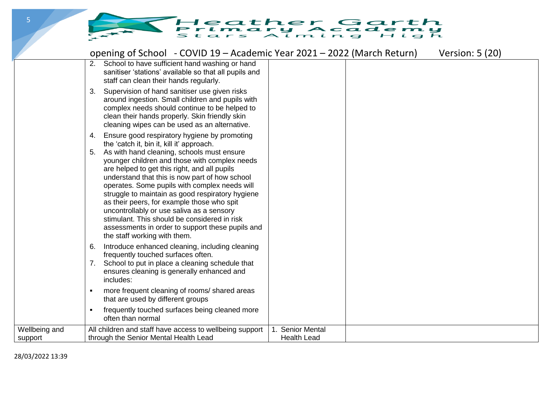## THeather Garth<br>Stars Alming High

|                          | opening of School - COVID 19 - Academic Year 2021 - 2022 (March Return)                                                                                                                                                                                                                                                                                                                                                                                                                                                                                                                                                                    |                                        | Version: 5 (20) |
|--------------------------|--------------------------------------------------------------------------------------------------------------------------------------------------------------------------------------------------------------------------------------------------------------------------------------------------------------------------------------------------------------------------------------------------------------------------------------------------------------------------------------------------------------------------------------------------------------------------------------------------------------------------------------------|----------------------------------------|-----------------|
|                          | School to have sufficient hand washing or hand<br>2.<br>sanitiser 'stations' available so that all pupils and<br>staff can clean their hands regularly.                                                                                                                                                                                                                                                                                                                                                                                                                                                                                    |                                        |                 |
|                          | Supervision of hand sanitiser use given risks<br>3.<br>around ingestion. Small children and pupils with<br>complex needs should continue to be helped to<br>clean their hands properly. Skin friendly skin<br>cleaning wipes can be used as an alternative.                                                                                                                                                                                                                                                                                                                                                                                |                                        |                 |
|                          | Ensure good respiratory hygiene by promoting<br>4.<br>the 'catch it, bin it, kill it' approach.<br>As with hand cleaning, schools must ensure<br>5.<br>younger children and those with complex needs<br>are helped to get this right, and all pupils<br>understand that this is now part of how school<br>operates. Some pupils with complex needs will<br>struggle to maintain as good respiratory hygiene<br>as their peers, for example those who spit<br>uncontrollably or use saliva as a sensory<br>stimulant. This should be considered in risk<br>assessments in order to support these pupils and<br>the staff working with them. |                                        |                 |
|                          | Introduce enhanced cleaning, including cleaning<br>6.<br>frequently touched surfaces often.<br>School to put in place a cleaning schedule that<br>7.<br>ensures cleaning is generally enhanced and<br>includes:                                                                                                                                                                                                                                                                                                                                                                                                                            |                                        |                 |
|                          | more frequent cleaning of rooms/ shared areas<br>that are used by different groups                                                                                                                                                                                                                                                                                                                                                                                                                                                                                                                                                         |                                        |                 |
|                          | frequently touched surfaces being cleaned more<br>often than normal                                                                                                                                                                                                                                                                                                                                                                                                                                                                                                                                                                        |                                        |                 |
| Wellbeing and<br>support | All children and staff have access to wellbeing support<br>through the Senior Mental Health Lead                                                                                                                                                                                                                                                                                                                                                                                                                                                                                                                                           | 1. Senior Mental<br><b>Health Lead</b> |                 |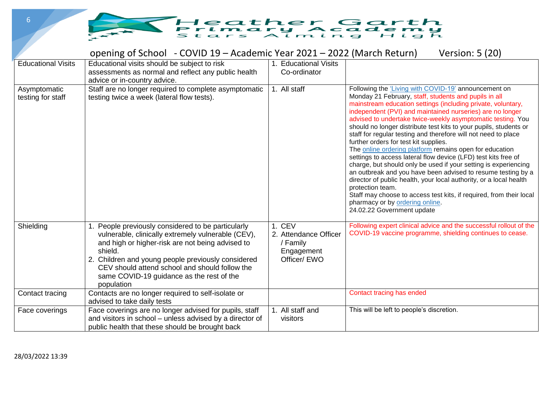

|                                   | opening of School - COVID 19 – Academic Year 2021 – 2022 (March Return)                                                                                                                                                                                                                                                                 |                                                                           | Version: 5 (20)                                                                                                                                                                                                                                                                                                                                                                                                                                                                                                                                                                                                                                                                                                                                                                                                                                                                                                                                                                             |
|-----------------------------------|-----------------------------------------------------------------------------------------------------------------------------------------------------------------------------------------------------------------------------------------------------------------------------------------------------------------------------------------|---------------------------------------------------------------------------|---------------------------------------------------------------------------------------------------------------------------------------------------------------------------------------------------------------------------------------------------------------------------------------------------------------------------------------------------------------------------------------------------------------------------------------------------------------------------------------------------------------------------------------------------------------------------------------------------------------------------------------------------------------------------------------------------------------------------------------------------------------------------------------------------------------------------------------------------------------------------------------------------------------------------------------------------------------------------------------------|
| <b>Educational Visits</b>         | Educational visits should be subject to risk                                                                                                                                                                                                                                                                                            | 1. Educational Visits                                                     |                                                                                                                                                                                                                                                                                                                                                                                                                                                                                                                                                                                                                                                                                                                                                                                                                                                                                                                                                                                             |
|                                   | assessments as normal and reflect any public health<br>advice or in-country advice.                                                                                                                                                                                                                                                     | Co-ordinator                                                              |                                                                                                                                                                                                                                                                                                                                                                                                                                                                                                                                                                                                                                                                                                                                                                                                                                                                                                                                                                                             |
| Asymptomatic<br>testing for staff | Staff are no longer required to complete asymptomatic<br>testing twice a week (lateral flow tests).                                                                                                                                                                                                                                     | 1. All staff                                                              | Following the 'Living with COVID-19' announcement on<br>Monday 21 February, staff, students and pupils in all<br>mainstream education settings (including private, voluntary,<br>independent (PVI) and maintained nurseries) are no longer<br>advised to undertake twice-weekly asymptomatic testing. You<br>should no longer distribute test kits to your pupils, students or<br>staff for regular testing and therefore will not need to place<br>further orders for test kit supplies.<br>The online ordering platform remains open for education<br>settings to access lateral flow device (LFD) test kits free of<br>charge, but should only be used if your setting is experiencing<br>an outbreak and you have been advised to resume testing by a<br>director of public health, your local authority, or a local health<br>protection team.<br>Staff may choose to access test kits, if required, from their local<br>pharmacy or by ordering online.<br>24.02.22 Government update |
| Shielding                         | People previously considered to be particularly<br>vulnerable, clinically extremely vulnerable (CEV),<br>and high or higher-risk are not being advised to<br>shield.<br>2. Children and young people previously considered<br>CEV should attend school and should follow the<br>same COVID-19 guidance as the rest of the<br>population | 1. CEV<br>2. Attendance Officer<br>/ Family<br>Engagement<br>Officer/ EWO | Following expert clinical advice and the successful rollout of the<br>COVID-19 vaccine programme, shielding continues to cease.                                                                                                                                                                                                                                                                                                                                                                                                                                                                                                                                                                                                                                                                                                                                                                                                                                                             |
| Contact tracing                   | Contacts are no longer required to self-isolate or<br>advised to take daily tests                                                                                                                                                                                                                                                       |                                                                           | Contact tracing has ended                                                                                                                                                                                                                                                                                                                                                                                                                                                                                                                                                                                                                                                                                                                                                                                                                                                                                                                                                                   |
| Face coverings                    | Face coverings are no longer advised for pupils, staff<br>and visitors in school – unless advised by a director of<br>public health that these should be brought back                                                                                                                                                                   | 1. All staff and<br>visitors                                              | This will be left to people's discretion.                                                                                                                                                                                                                                                                                                                                                                                                                                                                                                                                                                                                                                                                                                                                                                                                                                                                                                                                                   |

6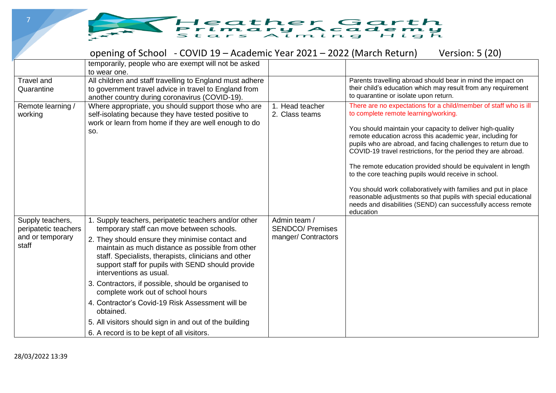

|                                                                       | opening of School - COVID 19 – Academic Year 2021 – 2022 (March Return)                                                                                                                                                                                                                                                                                                                                                                                                                                                                                                                                                |                                                                | Version: 5 (20)                                                                                                                                                                                                                                                                                                                                                                                                                                                                                                                                                                                                                                                                                               |
|-----------------------------------------------------------------------|------------------------------------------------------------------------------------------------------------------------------------------------------------------------------------------------------------------------------------------------------------------------------------------------------------------------------------------------------------------------------------------------------------------------------------------------------------------------------------------------------------------------------------------------------------------------------------------------------------------------|----------------------------------------------------------------|---------------------------------------------------------------------------------------------------------------------------------------------------------------------------------------------------------------------------------------------------------------------------------------------------------------------------------------------------------------------------------------------------------------------------------------------------------------------------------------------------------------------------------------------------------------------------------------------------------------------------------------------------------------------------------------------------------------|
|                                                                       | temporarily, people who are exempt will not be asked<br>to wear one.                                                                                                                                                                                                                                                                                                                                                                                                                                                                                                                                                   |                                                                |                                                                                                                                                                                                                                                                                                                                                                                                                                                                                                                                                                                                                                                                                                               |
| Travel and<br>Quarantine                                              | All children and staff travelling to England must adhere<br>to government travel advice in travel to England from<br>another country during coronavirus (COVID-19).                                                                                                                                                                                                                                                                                                                                                                                                                                                    |                                                                | Parents travelling abroad should bear in mind the impact on<br>their child's education which may result from any requirement<br>to quarantine or isolate upon return.                                                                                                                                                                                                                                                                                                                                                                                                                                                                                                                                         |
| Remote learning /<br>working                                          | Where appropriate, you should support those who are<br>self-isolating because they have tested positive to<br>work or learn from home if they are well enough to do<br>SO.                                                                                                                                                                                                                                                                                                                                                                                                                                             | 1. Head teacher<br>2. Class teams                              | There are no expectations for a child/member of staff who is ill<br>to complete remote learning/working.<br>You should maintain your capacity to deliver high-quality<br>remote education across this academic year, including for<br>pupils who are abroad, and facing challenges to return due to<br>COVID-19 travel restrictions, for the period they are abroad.<br>The remote education provided should be equivalent in length<br>to the core teaching pupils would receive in school.<br>You should work collaboratively with families and put in place<br>reasonable adjustments so that pupils with special educational<br>needs and disabilities (SEND) can successfully access remote<br>education |
| Supply teachers,<br>peripatetic teachers<br>and or temporary<br>staff | 1. Supply teachers, peripatetic teachers and/or other<br>temporary staff can move between schools.<br>2. They should ensure they minimise contact and<br>maintain as much distance as possible from other<br>staff. Specialists, therapists, clinicians and other<br>support staff for pupils with SEND should provide<br>interventions as usual.<br>3. Contractors, if possible, should be organised to<br>complete work out of school hours<br>4. Contractor's Covid-19 Risk Assessment will be<br>obtained.<br>5. All visitors should sign in and out of the building<br>6. A record is to be kept of all visitors. | Admin team /<br><b>SENDCO/ Premises</b><br>manger/ Contractors |                                                                                                                                                                                                                                                                                                                                                                                                                                                                                                                                                                                                                                                                                                               |